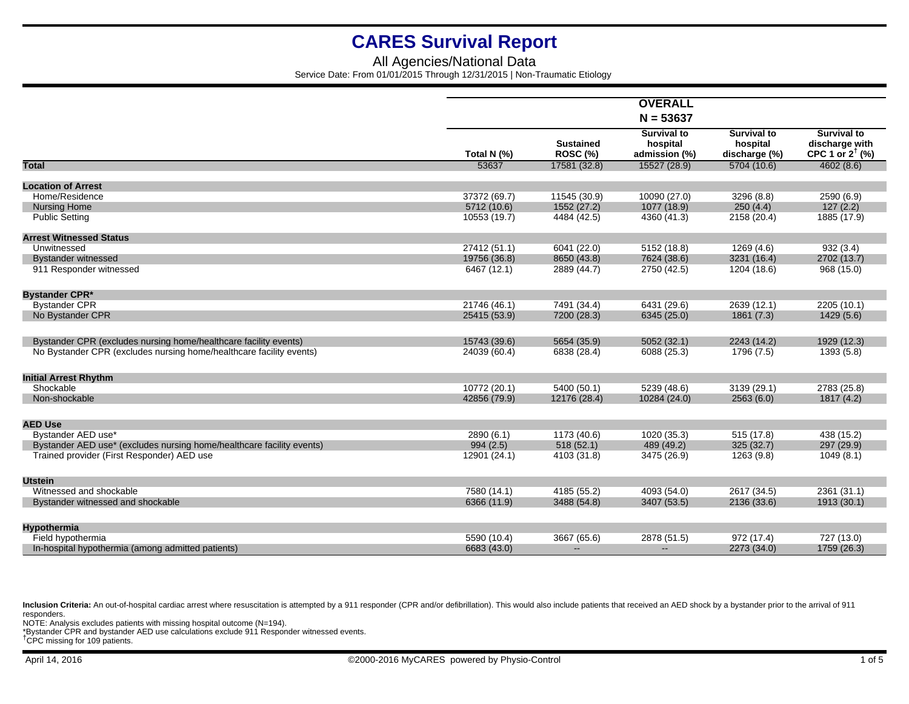## All Agencies/National Data Service Date: From 01/01/2015 Through 12/31/2015 | Non-Traumatic Etiology

|                                                                       |              |                                     | <b>OVERALL</b>                                  |                                                 |                                                                    |
|-----------------------------------------------------------------------|--------------|-------------------------------------|-------------------------------------------------|-------------------------------------------------|--------------------------------------------------------------------|
|                                                                       |              |                                     |                                                 |                                                 |                                                                    |
|                                                                       | Total N (%)  | <b>Sustained</b><br><b>ROSC (%)</b> | <b>Survival to</b><br>hospital<br>admission (%) | <b>Survival to</b><br>hospital<br>discharge (%) | <b>Survival to</b><br>discharge with<br>CPC 1 or $2^{\dagger}$ (%) |
| <b>Total</b>                                                          | 53637        | 17581 (32.8)                        | 15527 (28.9)                                    | 5704 (10.6)                                     | 4602(8.6)                                                          |
| <b>Location of Arrest</b>                                             |              |                                     |                                                 |                                                 |                                                                    |
| Home/Residence                                                        | 37372 (69.7) | 11545 (30.9)                        | 10090 (27.0)                                    | 3296 (8.8)                                      | 2590 (6.9)                                                         |
| <b>Nursing Home</b>                                                   | 5712 (10.6)  | 1552 (27.2)                         | 1077 (18.9)                                     | 250(4.4)                                        | 127(2.2)                                                           |
| <b>Public Setting</b>                                                 | 10553 (19.7) |                                     | 4360 (41.3)                                     |                                                 | 1885 (17.9)                                                        |
|                                                                       |              | 4484 (42.5)                         |                                                 | 2158 (20.4)                                     |                                                                    |
| <b>Arrest Witnessed Status</b>                                        |              |                                     |                                                 |                                                 |                                                                    |
| Unwitnessed                                                           | 27412 (51.1) | 6041 (22.0)                         | 5152 (18.8)                                     | 1269 (4.6)                                      | 932(3.4)                                                           |
| <b>Bystander witnessed</b>                                            | 19756 (36.8) | 8650 (43.8)                         | 7624 (38.6)                                     | 3231 (16.4)                                     | 2702 (13.7)                                                        |
| 911 Responder witnessed                                               | 6467 (12.1)  | 2889 (44.7)                         | 2750 (42.5)                                     | 1204 (18.6)                                     | 968 (15.0)                                                         |
|                                                                       |              |                                     |                                                 |                                                 |                                                                    |
| <b>Bystander CPR*</b>                                                 |              |                                     |                                                 |                                                 |                                                                    |
| <b>Bystander CPR</b>                                                  | 21746 (46.1) | 7491 (34.4)                         | 6431 (29.6)                                     | 2639 (12.1)                                     | 2205 (10.1)                                                        |
| No Bystander CPR                                                      | 25415 (53.9) | 7200 (28.3)                         | 6345 (25.0)                                     | 1861(7.3)                                       | 1429(5.6)                                                          |
|                                                                       |              |                                     |                                                 |                                                 |                                                                    |
| Bystander CPR (excludes nursing home/healthcare facility events)      | 15743 (39.6) | 5654 (35.9)                         | 5052 (32.1)                                     | 2243 (14.2)                                     | 1929 (12.3)                                                        |
| No Bystander CPR (excludes nursing home/healthcare facility events)   | 24039 (60.4) | 6838 (28.4)                         | 6088 (25.3)                                     | 1796 (7.5)                                      | 1393 (5.8)                                                         |
| <b>Initial Arrest Rhythm</b>                                          |              |                                     |                                                 |                                                 |                                                                    |
| Shockable                                                             | 10772 (20.1) | 5400 (50.1)                         | 5239 (48.6)                                     | 3139 (29.1)                                     | 2783 (25.8)                                                        |
| Non-shockable                                                         | 42856 (79.9) | 12176 (28.4)                        | 10284 (24.0)                                    | 2563(6.0)                                       | 1817 (4.2)                                                         |
|                                                                       |              |                                     |                                                 |                                                 |                                                                    |
| <b>AED Use</b>                                                        |              |                                     |                                                 |                                                 |                                                                    |
| Bystander AED use*                                                    | 2890 (6.1)   | 1173 (40.6)                         | 1020 (35.3)                                     | 515 (17.8)                                      | 438 (15.2)                                                         |
| Bystander AED use* (excludes nursing home/healthcare facility events) | 994(2.5)     | 518(52.1)                           | 489 (49.2)                                      | 325 (32.7)                                      | 297 (29.9)                                                         |
| Trained provider (First Responder) AED use                            | 12901 (24.1) | 4103 (31.8)                         | 3475 (26.9)                                     | 1263 (9.8)                                      | 1049(8.1)                                                          |
|                                                                       |              |                                     |                                                 |                                                 |                                                                    |
| <b>Utstein</b>                                                        |              |                                     |                                                 |                                                 |                                                                    |
| Witnessed and shockable                                               | 7580 (14.1)  | 4185 (55.2)                         | 4093 (54.0)                                     | 2617 (34.5)                                     | 2361 (31.1)                                                        |
| Bystander witnessed and shockable                                     | 6366 (11.9)  | 3488 (54.8)                         | 3407 (53.5)                                     | 2136 (33.6)                                     | 1913 (30.1)                                                        |
|                                                                       |              |                                     |                                                 |                                                 |                                                                    |
| <b>Hypothermia</b>                                                    |              |                                     |                                                 |                                                 |                                                                    |
| Field hypothermia                                                     | 5590 (10.4)  | 3667 (65.6)                         | 2878 (51.5)                                     | 972 (17.4)                                      | 727 (13.0)                                                         |
| In-hospital hypothermia (among admitted patients)                     | 6683 (43.0)  | $\overline{\phantom{a}}$            | --                                              | 2273 (34.0)                                     | 1759 (26.3)                                                        |

Inclusion Criteria: An out-of-hospital cardiac arrest where resuscitation is attempted by a 911 responder (CPR and/or defibrillation). This would also include patients that received an AED shock by a bystander prior to the responders.

NOTE: Analysis excludes patients with missing hospital outcome (N=194).<br>\*Bystander CPR and bystander AED use calculations exclude 911 Responder witnessed events.<br><sup>†</sup>CPC missing for 109 patients.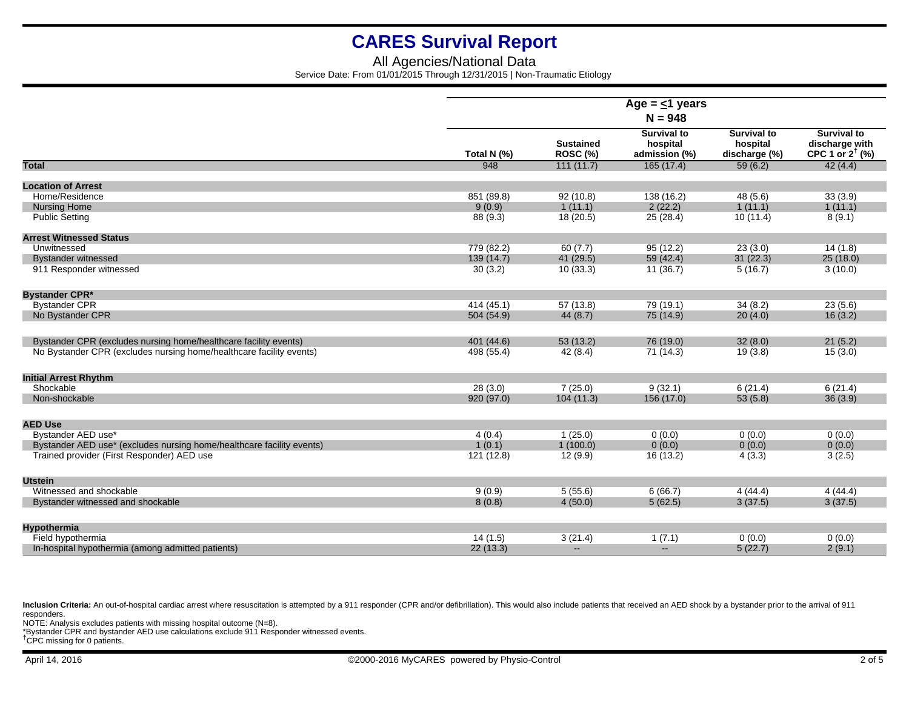## All Agencies/National Data Service Date: From 01/01/2015 Through 12/31/2015 | Non-Traumatic Etiology

|                                                                       | Age = $\leq$ 1 years |                                     |                                                 |                                                 |                                                                    |  |
|-----------------------------------------------------------------------|----------------------|-------------------------------------|-------------------------------------------------|-------------------------------------------------|--------------------------------------------------------------------|--|
|                                                                       | $N = 948$            |                                     |                                                 |                                                 |                                                                    |  |
|                                                                       | Total N (%)          | <b>Sustained</b><br><b>ROSC (%)</b> | <b>Survival to</b><br>hospital<br>admission (%) | <b>Survival to</b><br>hospital<br>discharge (%) | <b>Survival to</b><br>discharge with<br>CPC 1 or $2^{\dagger}$ (%) |  |
| <b>Total</b>                                                          | 948                  | 111(11.7)                           | 165(17.4)                                       | 59(6.2)                                         | 42(4.4)                                                            |  |
| <b>Location of Arrest</b>                                             |                      |                                     |                                                 |                                                 |                                                                    |  |
| Home/Residence                                                        | 851 (89.8)           | 92(10.8)                            | 138 (16.2)                                      | 48 (5.6)                                        | 33(3.9)                                                            |  |
| <b>Nursing Home</b>                                                   | 9(0.9)               | 1(11.1)                             | 2(22.2)                                         | 1(11.1)                                         | 1(11.1)                                                            |  |
| <b>Public Setting</b>                                                 | 88 (9.3)             | 18(20.5)                            | 25 (28.4)                                       | 10(11.4)                                        | 8(9.1)                                                             |  |
| <b>Arrest Witnessed Status</b>                                        |                      |                                     |                                                 |                                                 |                                                                    |  |
| Unwitnessed                                                           | 779 (82.2)           | 60(7.7)                             | 95(12.2)                                        | 23(3.0)                                         | 14(1.8)                                                            |  |
| <b>Bystander witnessed</b>                                            | 139 (14.7)           | 41 (29.5)                           | 59(42.4)                                        | 31(22.3)                                        | 25(18.0)                                                           |  |
| 911 Responder witnessed                                               | 30(3.2)              | 10(33.3)                            | 11(36.7)                                        | 5(16.7)                                         | 3(10.0)                                                            |  |
| <b>Bystander CPR*</b>                                                 |                      |                                     |                                                 |                                                 |                                                                    |  |
| <b>Bystander CPR</b>                                                  | 414 (45.1)           | 57(13.8)                            | 79 (19.1)                                       | 34(8.2)                                         | 23(5.6)                                                            |  |
| No Bystander CPR                                                      | 504 (54.9)           | 44(8.7)                             | 75(14.9)                                        | 20(4.0)                                         | 16(3.2)                                                            |  |
| Bystander CPR (excludes nursing home/healthcare facility events)      | 401 (44.6)           | 53(13.2)                            | 76 (19.0)                                       | 32(8.0)                                         | 21(5.2)                                                            |  |
| No Bystander CPR (excludes nursing home/healthcare facility events)   | 498 (55.4)           | 42(8.4)                             | 71 (14.3)                                       | 19(3.8)                                         | 15(3.0)                                                            |  |
| <b>Initial Arrest Rhythm</b>                                          |                      |                                     |                                                 |                                                 |                                                                    |  |
| Shockable                                                             | 28(3.0)              | 7(25.0)                             | 9(32.1)                                         | 6(21.4)                                         | 6(21.4)                                                            |  |
| Non-shockable                                                         | 920 (97.0)           | 104(11.3)                           | 156 (17.0)                                      | 53(5.8)                                         | 36(3.9)                                                            |  |
| <b>AED Use</b>                                                        |                      |                                     |                                                 |                                                 |                                                                    |  |
| Bystander AED use*                                                    | 4(0.4)               | 1(25.0)                             | 0(0.0)                                          | 0(0.0)                                          | 0(0.0)                                                             |  |
| Bystander AED use* (excludes nursing home/healthcare facility events) | 1(0.1)               | 1(100.0)                            | 0(0.0)                                          | 0(0.0)                                          | 0(0.0)                                                             |  |
| Trained provider (First Responder) AED use                            | 121 (12.8)           | 12(9.9)                             | 16 (13.2)                                       | 4(3.3)                                          | 3(2.5)                                                             |  |
| <b>Utstein</b>                                                        |                      |                                     |                                                 |                                                 |                                                                    |  |
| Witnessed and shockable                                               | 9(0.9)               | 5(55.6)                             | 6(66.7)                                         | 4(44.4)                                         | 4(44.4)                                                            |  |
| Bystander witnessed and shockable                                     | 8(0.8)               | 4(50.0)                             | 5(62.5)                                         | 3(37.5)                                         | 3(37.5)                                                            |  |
|                                                                       |                      |                                     |                                                 |                                                 |                                                                    |  |
| <b>Hypothermia</b>                                                    |                      |                                     |                                                 |                                                 |                                                                    |  |
| Field hypothermia                                                     | 14(1.5)              | 3(21.4)                             | 1(7.1)                                          | 0(0.0)                                          | 0(0.0)                                                             |  |
| In-hospital hypothermia (among admitted patients)                     | 22(13.3)             | $\mathbf{L}$                        | $\sim$                                          | 5(22.7)                                         | 2(9.1)                                                             |  |

Inclusion Criteria: An out-of-hospital cardiac arrest where resuscitation is attempted by a 911 responder (CPR and/or defibrillation). This would also include patients that received an AED shock by a bystander prior to the responders.

NOTE: Analysis excludes patients with missing hospital outcome (N=8).<br>\*Bystander CPR and bystander AED use calculations exclude 911 Responder witnessed events.<br><sup>†</sup>CPC missing for 0 patients.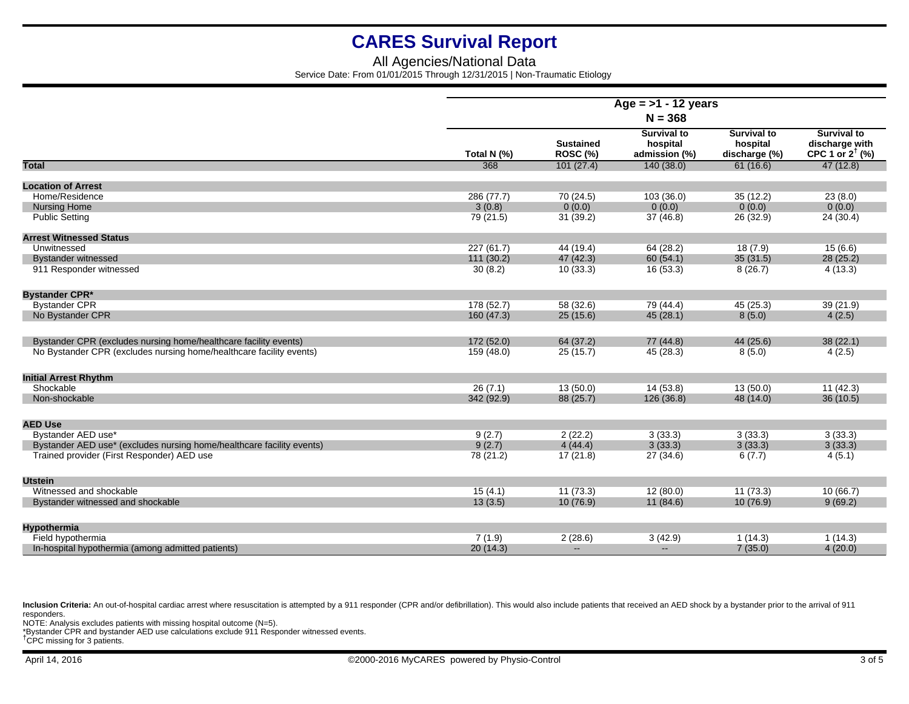## All Agencies/National Data Service Date: From 01/01/2015 Through 12/31/2015 | Non-Traumatic Etiology

|                                                                       | Age = $>1$ - 12 years<br>$N = 368$ |                                     |                                                 |                                                 |                                                                    |  |  |
|-----------------------------------------------------------------------|------------------------------------|-------------------------------------|-------------------------------------------------|-------------------------------------------------|--------------------------------------------------------------------|--|--|
|                                                                       |                                    |                                     |                                                 |                                                 |                                                                    |  |  |
|                                                                       | Total N (%)                        | <b>Sustained</b><br><b>ROSC (%)</b> | <b>Survival to</b><br>hospital<br>admission (%) | <b>Survival to</b><br>hospital<br>discharge (%) | <b>Survival to</b><br>discharge with<br>CPC 1 or $2^{\dagger}$ (%) |  |  |
| <b>Total</b>                                                          | 368                                | 101(27.4)                           | 140(38.0)                                       | 61(16.6)                                        | 47(12.8)                                                           |  |  |
| <b>Location of Arrest</b>                                             |                                    |                                     |                                                 |                                                 |                                                                    |  |  |
| Home/Residence                                                        | 286 (77.7)                         | 70 (24.5)                           | 103 (36.0)                                      | 35(12.2)                                        | 23(8.0)                                                            |  |  |
| <b>Nursing Home</b>                                                   | 3(0.8)                             | 0(0.0)                              | 0(0.0)                                          | 0(0.0)                                          | 0(0.0)                                                             |  |  |
| <b>Public Setting</b>                                                 | 79 (21.5)                          | 31(39.2)                            | 37(46.8)                                        | 26 (32.9)                                       | 24 (30.4)                                                          |  |  |
|                                                                       |                                    |                                     |                                                 |                                                 |                                                                    |  |  |
| <b>Arrest Witnessed Status</b><br>Unwitnessed                         |                                    |                                     |                                                 |                                                 |                                                                    |  |  |
|                                                                       | 227 (61.7)                         | 44 (19.4)                           | 64 (28.2)                                       | 18(7.9)                                         | 15(6.6)                                                            |  |  |
| <b>Bystander witnessed</b>                                            | 111 (30.2)                         | 47 (42.3)                           | 60(54.1)                                        | 35(31.5)                                        | 28(25.2)                                                           |  |  |
| 911 Responder witnessed                                               | 30(8.2)                            | 10(33.3)                            | 16(53.3)                                        | 8(26.7)                                         | 4(13.3)                                                            |  |  |
| <b>Bystander CPR*</b>                                                 |                                    |                                     |                                                 |                                                 |                                                                    |  |  |
| <b>Bystander CPR</b>                                                  | 178 (52.7)                         | 58 (32.6)                           | 79 (44.4)                                       | 45(25.3)                                        | 39 (21.9)                                                          |  |  |
| No Bystander CPR                                                      | 160(47.3)                          | 25(15.6)                            | 45(28.1)                                        | 8(5.0)                                          | 4(2.5)                                                             |  |  |
|                                                                       |                                    |                                     |                                                 |                                                 |                                                                    |  |  |
| Bystander CPR (excludes nursing home/healthcare facility events)      | 172 (52.0)                         | 64 (37.2)                           | 77 (44.8)                                       | 44 (25.6)                                       | 38(22.1)                                                           |  |  |
| No Bystander CPR (excludes nursing home/healthcare facility events)   | 159 (48.0)                         | 25(15.7)                            | 45 (28.3)                                       | 8(5.0)                                          | 4(2.5)                                                             |  |  |
|                                                                       |                                    |                                     |                                                 |                                                 |                                                                    |  |  |
| <b>Initial Arrest Rhythm</b>                                          |                                    |                                     |                                                 |                                                 |                                                                    |  |  |
| Shockable                                                             | 26(7.1)                            | 13(50.0)                            | 14(53.8)                                        | 13(50.0)                                        | 11(42.3)                                                           |  |  |
| Non-shockable                                                         | 342 (92.9)                         | 88 (25.7)                           | 126 (36.8)                                      | 48 (14.0)                                       | 36(10.5)                                                           |  |  |
| <b>AED Use</b>                                                        |                                    |                                     |                                                 |                                                 |                                                                    |  |  |
| Bystander AED use*                                                    | 9(2.7)                             | 2(22.2)                             | 3(33.3)                                         | 3(33.3)                                         | 3(33.3)                                                            |  |  |
| Bystander AED use* (excludes nursing home/healthcare facility events) | 9(2.7)                             | 4(44.4)                             | 3(33.3)                                         | 3(33.3)                                         | 3(33.3)                                                            |  |  |
| Trained provider (First Responder) AED use                            | 78 (21.2)                          | 17(21.8)                            | 27(34.6)                                        | 6(7.7)                                          | 4(5.1)                                                             |  |  |
|                                                                       |                                    |                                     |                                                 |                                                 |                                                                    |  |  |
| <b>Utstein</b>                                                        |                                    |                                     |                                                 |                                                 |                                                                    |  |  |
| Witnessed and shockable                                               | 15(4.1)                            | 11(73.3)                            | 12(80.0)                                        | 11(73.3)                                        | 10(66.7)                                                           |  |  |
| Bystander witnessed and shockable                                     | 13(3.5)                            | 10(76.9)                            | 11(84.6)                                        | 10(76.9)                                        | 9(69.2)                                                            |  |  |
|                                                                       |                                    |                                     |                                                 |                                                 |                                                                    |  |  |
| <b>Hypothermia</b><br>Field hypothermia                               | 7(1.9)                             | 2(28.6)                             | 3(42.9)                                         | 1(14.3)                                         | 1(14.3)                                                            |  |  |
| In-hospital hypothermia (among admitted patients)                     | 20(14.3)                           | $\sim$                              | $\qquad \qquad -$                               | 7(35.0)                                         | 4(20.0)                                                            |  |  |
|                                                                       |                                    |                                     |                                                 |                                                 |                                                                    |  |  |

Inclusion Criteria: An out-of-hospital cardiac arrest where resuscitation is attempted by a 911 responder (CPR and/or defibrillation). This would also include patients that received an AED shock by a bystander prior to the responders.

NOTE: Analysis excludes patients with missing hospital outcome (N=5). \*Bystander CPR and bystander AED use calculations exclude 911 Responder witnessed events. †CPC missing for 3 patients.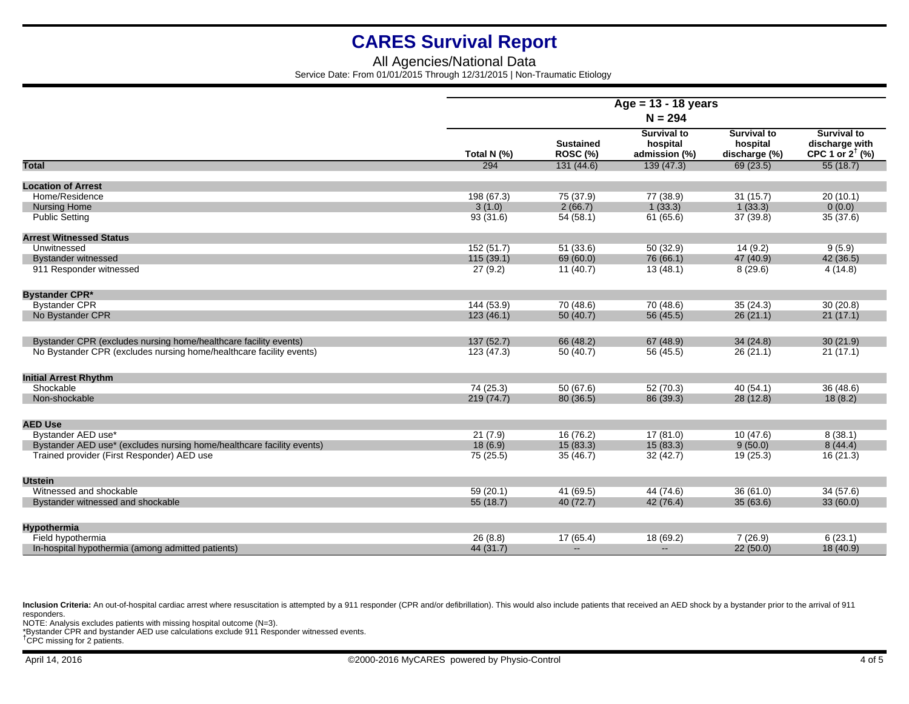## All Agencies/National Data Service Date: From 01/01/2015 Through 12/31/2015 | Non-Traumatic Etiology

|                                                                       | Age = 13 - 18 years<br>$N = 294$ |                                     |                                                 |                                                 |                                                                    |  |  |
|-----------------------------------------------------------------------|----------------------------------|-------------------------------------|-------------------------------------------------|-------------------------------------------------|--------------------------------------------------------------------|--|--|
|                                                                       |                                  |                                     |                                                 |                                                 |                                                                    |  |  |
|                                                                       | Total N (%)                      | <b>Sustained</b><br><b>ROSC (%)</b> | <b>Survival to</b><br>hospital<br>admission (%) | <b>Survival to</b><br>hospital<br>discharge (%) | <b>Survival to</b><br>discharge with<br>CPC 1 or $2^{\dagger}$ (%) |  |  |
| <b>Total</b>                                                          | 294                              | 131(44.6)                           | 139(47.3)                                       | 69(23.5)                                        | 55(18.7)                                                           |  |  |
| <b>Location of Arrest</b>                                             |                                  |                                     |                                                 |                                                 |                                                                    |  |  |
| Home/Residence                                                        | 198 (67.3)                       | 75 (37.9)                           | 77 (38.9)                                       | 31(15.7)                                        | 20(10.1)                                                           |  |  |
| <b>Nursing Home</b>                                                   | 3(1.0)                           | 2(66.7)                             | 1(33.3)                                         | 1(33.3)                                         | 0(0.0)                                                             |  |  |
| <b>Public Setting</b>                                                 | 93(31.6)                         | 54(58.1)                            | 61 (65.6)                                       | 37(39.8)                                        | 35(37.6)                                                           |  |  |
| <b>Arrest Witnessed Status</b>                                        |                                  |                                     |                                                 |                                                 |                                                                    |  |  |
| Unwitnessed                                                           | 152 (51.7)                       | 51 (33.6)                           | 50 (32.9)                                       | 14(9.2)                                         | 9(5.9)                                                             |  |  |
| <b>Bystander witnessed</b>                                            | 115(39.1)                        | 69 (60.0)                           | 76 (66.1)                                       | 47 (40.9)                                       | 42 (36.5)                                                          |  |  |
| 911 Responder witnessed                                               | 27(9.2)                          | 11(40.7)                            | 13(48.1)                                        | 8(29.6)                                         | 4(14.8)                                                            |  |  |
| <b>Bystander CPR*</b>                                                 |                                  |                                     |                                                 |                                                 |                                                                    |  |  |
| <b>Bystander CPR</b>                                                  | 144 (53.9)                       | 70 (48.6)                           | 70 (48.6)                                       | 35(24.3)                                        | 30(20.8)                                                           |  |  |
| No Bystander CPR                                                      | 123(46.1)                        | 50(40.7)                            | 56 (45.5)                                       | 26(21.1)                                        | 21(17.1)                                                           |  |  |
| Bystander CPR (excludes nursing home/healthcare facility events)      | 137(52.7)                        | 66 (48.2)                           | 67 (48.9)                                       | 34(24.8)                                        | 30(21.9)                                                           |  |  |
| No Bystander CPR (excludes nursing home/healthcare facility events)   | 123 (47.3)                       | 50(40.7)                            | 56 (45.5)                                       | 26(21.1)                                        | 21(17.1)                                                           |  |  |
| <b>Initial Arrest Rhythm</b>                                          |                                  |                                     |                                                 |                                                 |                                                                    |  |  |
| Shockable                                                             | 74 (25.3)                        | 50(67.6)                            | 52 (70.3)                                       | 40(54.1)                                        | 36 (48.6)                                                          |  |  |
| Non-shockable                                                         | 219 (74.7)                       | 80 (36.5)                           | 86 (39.3)                                       | 28(12.8)                                        | 18(8.2)                                                            |  |  |
| <b>AED Use</b>                                                        |                                  |                                     |                                                 |                                                 |                                                                    |  |  |
| Bystander AED use*                                                    | 21(7.9)                          | 16(76.2)                            | 17(81.0)                                        | 10(47.6)                                        | 8(38.1)                                                            |  |  |
| Bystander AED use* (excludes nursing home/healthcare facility events) | 18(6.9)                          | 15(83.3)                            | 15(83.3)                                        | 9(50.0)                                         | 8(44.4)                                                            |  |  |
| Trained provider (First Responder) AED use                            | 75 (25.5)                        | 35(46.7)                            | 32 (42.7)                                       | 19(25.3)                                        | 16(21.3)                                                           |  |  |
| <b>Utstein</b>                                                        |                                  |                                     |                                                 |                                                 |                                                                    |  |  |
| Witnessed and shockable                                               | 59(20.1)                         | 41 (69.5)                           | 44 (74.6)                                       | 36(61.0)                                        | 34(57.6)                                                           |  |  |
| Bystander witnessed and shockable                                     | 55(18.7)                         | 40(72.7)                            | 42 (76.4)                                       | 35(63.6)                                        | 33(60.0)                                                           |  |  |
| <b>Hypothermia</b>                                                    |                                  |                                     |                                                 |                                                 |                                                                    |  |  |
| Field hypothermia                                                     | 26(8.8)                          | 17(65.4)                            | 18 (69.2)                                       | 7(26.9)                                         | 6(23.1)                                                            |  |  |
| In-hospital hypothermia (among admitted patients)                     | 44 (31.7)                        | $\sim$                              | $\qquad \qquad -$                               | 22(50.0)                                        | 18(40.9)                                                           |  |  |

Inclusion Criteria: An out-of-hospital cardiac arrest where resuscitation is attempted by a 911 responder (CPR and/or defibrillation). This would also include patients that received an AED shock by a bystander prior to the responders.

NOTE: Analysis excludes patients with missing hospital outcome (N=3).<br>\*Bystander CPR and bystander AED use calculations exclude 911 Responder witnessed events.<br><sup>†</sup>CPC missing for 2 patients.